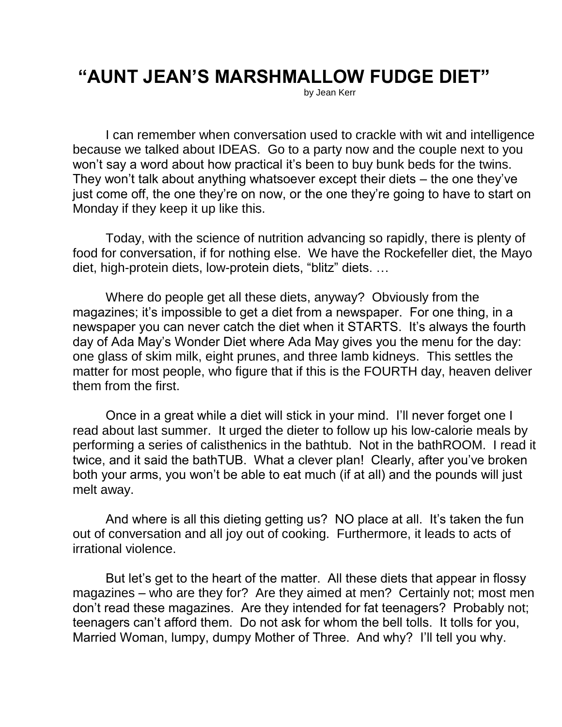## **"AUNT JEAN'S MARSHMALLOW FUDGE DIET"**

by Jean Kerr

I can remember when conversation used to crackle with wit and intelligence because we talked about IDEAS. Go to a party now and the couple next to you won't say a word about how practical it's been to buy bunk beds for the twins. They won't talk about anything whatsoever except their diets – the one they've just come off, the one they're on now, or the one they're going to have to start on Monday if they keep it up like this.

Today, with the science of nutrition advancing so rapidly, there is plenty of food for conversation, if for nothing else. We have the Rockefeller diet, the Mayo diet, high-protein diets, low-protein diets, "blitz" diets. …

Where do people get all these diets, anyway? Obviously from the magazines; it's impossible to get a diet from a newspaper. For one thing, in a newspaper you can never catch the diet when it STARTS. It's always the fourth day of Ada May's Wonder Diet where Ada May gives you the menu for the day: one glass of skim milk, eight prunes, and three lamb kidneys. This settles the matter for most people, who figure that if this is the FOURTH day, heaven deliver them from the first.

Once in a great while a diet will stick in your mind. I'll never forget one I read about last summer. It urged the dieter to follow up his low-calorie meals by performing a series of calisthenics in the bathtub. Not in the bathROOM. I read it twice, and it said the bathTUB. What a clever plan! Clearly, after you've broken both your arms, you won't be able to eat much (if at all) and the pounds will just melt away.

And where is all this dieting getting us? NO place at all. It's taken the fun out of conversation and all joy out of cooking. Furthermore, it leads to acts of irrational violence.

But let's get to the heart of the matter. All these diets that appear in flossy magazines – who are they for? Are they aimed at men? Certainly not; most men don't read these magazines. Are they intended for fat teenagers? Probably not; teenagers can't afford them. Do not ask for whom the bell tolls. It tolls for you, Married Woman, lumpy, dumpy Mother of Three. And why? I'll tell you why.